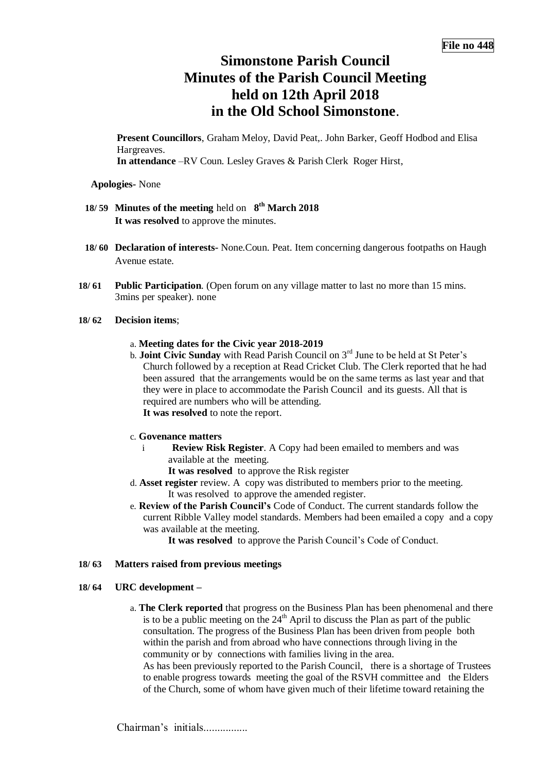# **Simonstone Parish Council Minutes of the Parish Council Meeting held on 12th April 2018 in the Old School Simonstone**.

**Present Councillors**, Graham Meloy, David Peat,. John Barker, Geoff Hodbod and Elisa Hargreaves. **In attendance** –RV Coun. Lesley Graves & Parish Clerk Roger Hirst,

**Apologies-** None

- **18/ 59 Minutes of the meeting** held on **8 th March 2018 It was resolved** to approve the minutes.
- **18/ 60 Declaration of interests-** None.Coun. Peat. Item concerning dangerous footpaths on Haugh Avenue estate.
- **18/ 61 Public Participation**. (Open forum on any village matter to last no more than 15 mins. 3mins per speaker). none

#### **18/ 62 Decision items**;

- a. **Meeting dates for the Civic year 2018-2019**
- b. **Joint Civic Sunday** with Read Parish Council on 3rd June to be held at St Peter's Church followed by a reception at Read Cricket Club. The Clerk reported that he had been assured that the arrangements would be on the same terms as last year and that they were in place to accommodate the Parish Council and its guests. All that is required are numbers who will be attending. **It was resolved** to note the report.

# c. **Govenance matters**

- i **Review Risk Register**. A Copy had been emailed to members and was available at the meeting.
	- **It was resolved** to approve the Risk register
- d. **Asset register** review. A copy was distributed to members prior to the meeting. It was resolved to approve the amended register.
- e. **Review of the Parish Council's** Code of Conduct. The current standards follow the current Ribble Valley model standards. Members had been emailed a copy and a copy was available at the meeting.

**It was resolved** to approve the Parish Council's Code of Conduct.

#### **18/ 63 Matters raised from previous meetings**

# **18/ 64 URC development –**

a. **The Clerk reported** that progress on the Business Plan has been phenomenal and there is to be a public meeting on the  $24<sup>th</sup>$  April to discuss the Plan as part of the public consultation. The progress of the Business Plan has been driven from people both within the parish and from abroad who have connections through living in the community or by connections with families living in the area.

As has been previously reported to the Parish Council, there is a shortage of Trustees to enable progress towards meeting the goal of the RSVH committee and the Elders of the Church, some of whom have given much of their lifetime toward retaining the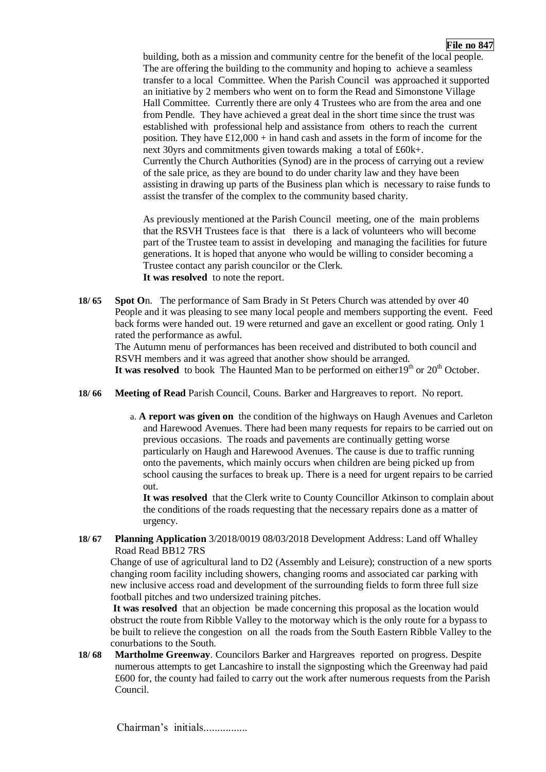building, both as a mission and community centre for the benefit of the local people. The are offering the building to the community and hoping to achieve a seamless transfer to a local Committee. When the Parish Council was approached it supported an initiative by 2 members who went on to form the Read and Simonstone Village Hall Committee. Currently there are only 4 Trustees who are from the area and one from Pendle. They have achieved a great deal in the short time since the trust was established with professional help and assistance from others to reach the current position. They have  $\text{\pounds}12,000 + \text{in}$  hand cash and assets in the form of income for the next 30yrs and commitments given towards making a total of £60k+. Currently the Church Authorities (Synod) are in the process of carrying out a review of the sale price, as they are bound to do under charity law and they have been assisting in drawing up parts of the Business plan which is necessary to raise funds to assist the transfer of the complex to the community based charity.

As previously mentioned at the Parish Council meeting, one of the main problems that the RSVH Trustees face is that there is a lack of volunteers who will become part of the Trustee team to assist in developing and managing the facilities for future generations. It is hoped that anyone who would be willing to consider becoming a Trustee contact any parish councilor or the Clerk. **It was resolved** to note the report.

**18/ 65 Spot O**n. The performance of Sam Brady in St Peters Church was attended by over 40 People and it was pleasing to see many local people and members supporting the event. Feed back forms were handed out. 19 were returned and gave an excellent or good rating. Only 1 rated the performance as awful.

The Autumn menu of performances has been received and distributed to both council and RSVH members and it was agreed that another show should be arranged.

It was resolved to book The Haunted Man to be performed on either  $19<sup>th</sup>$  or  $20<sup>th</sup>$  October.

- **18/ 66 Meeting of Read** Parish Council, Couns. Barker and Hargreaves to report. No report.
	- a. **A report was given on** the condition of the highways on Haugh Avenues and Carleton and Harewood Avenues. There had been many requests for repairs to be carried out on previous occasions. The roads and pavements are continually getting worse particularly on Haugh and Harewood Avenues. The cause is due to traffic running onto the pavements, which mainly occurs when children are being picked up from school causing the surfaces to break up. There is a need for urgent repairs to be carried out.

**It was resolved** that the Clerk write to County Councillor Atkinson to complain about the conditions of the roads requesting that the necessary repairs done as a matter of urgency.

**18/ 67 Planning Application** 3/2018/0019 08/03/2018 Development Address: Land off Whalley Road Read BB12 7RS

Change of use of agricultural land to D2 (Assembly and Leisure); construction of a new sports changing room facility including showers, changing rooms and associated car parking with new inclusive access road and development of the surrounding fields to form three full size football pitches and two undersized training pitches.

**It was resolved** that an objection be made concerning this proposal as the location would obstruct the route from Ribble Valley to the motorway which is the only route for a bypass to be built to relieve the congestion on all the roads from the South Eastern Ribble Valley to the conurbations to the South.

**18/ 68 Martholme Greenway**. Councilors Barker and Hargreaves reported on progress. Despite numerous attempts to get Lancashire to install the signposting which the Greenway had paid £600 for, the county had failed to carry out the work after numerous requests from the Parish Council.

Chairman's initials................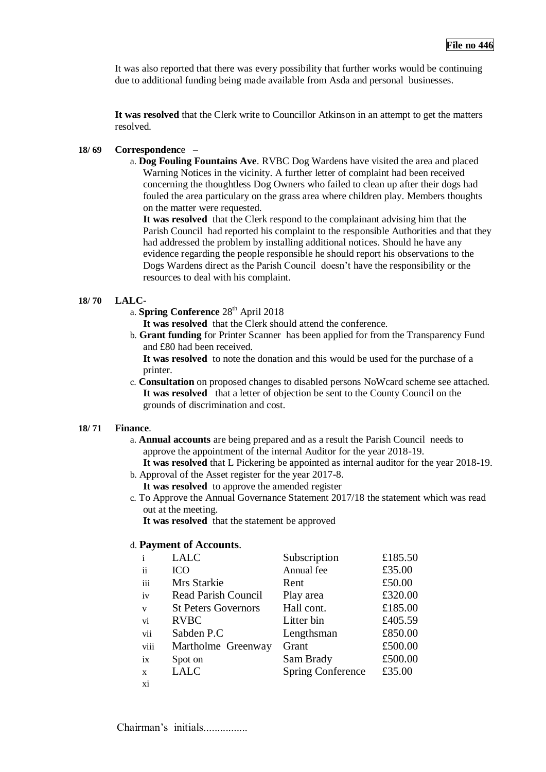It was also reported that there was every possibility that further works would be continuing due to additional funding being made available from Asda and personal businesses.

**It was resolved** that the Clerk write to Councillor Atkinson in an attempt to get the matters resolved.

#### **18/ 69 Correspondenc**e –

a. **Dog Fouling Fountains Ave**. RVBC Dog Wardens have visited the area and placed Warning Notices in the vicinity. A further letter of complaint had been received concerning the thoughtless Dog Owners who failed to clean up after their dogs had fouled the area particulary on the grass area where children play. Members thoughts on the matter were requested.

**It was resolved** that the Clerk respond to the complainant advising him that the Parish Council had reported his complaint to the responsible Authorities and that they had addressed the problem by installing additional notices. Should he have any evidence regarding the people responsible he should report his observations to the Dogs Wardens direct as the Parish Council doesn't have the responsibility or the resources to deal with his complaint.

#### **18/ 70 LALC**-

a. **Spring Conference** 28<sup>th</sup> April 2018

**It was resolved** that the Clerk should attend the conference.

b. **Grant funding** for Printer Scanner has been applied for from the Transparency Fund and £80 had been received.

**It was resolved** to note the donation and this would be used for the purchase of a printer.

c. **Consultation** on proposed changes to disabled persons NoWcard scheme see attached. **It was resolved** that a letter of objection be sent to the County Council on the grounds of discrimination and cost.

# **18/ 71 Finance**.

a. **Annual accounts** are being prepared and as a result the Parish Council needs to approve the appointment of the internal Auditor for the year 2018-19.

**It was resolved** that L Pickering be appointed as internal auditor for the year 2018-19. b. Approval of the Asset register for the year 2017-8.

**It was resolved** to approve the amended register

c. To Approve the Annual Governance Statement 2017/18 the statement which was read out at the meeting.

**It was resolved** that the statement be approved

# d. **Payment of Accounts**.

| $\mathbf{i}$ | <b>LALC</b>                | Subscription             | £185.50 |
|--------------|----------------------------|--------------------------|---------|
| ii           | <b>ICO</b>                 | Annual fee               | £35.00  |
| iii          | Mrs Starkie                | Rent                     | £50.00  |
| iv           | <b>Read Parish Council</b> | Play area                | £320.00 |
| $\mathbf{V}$ | <b>St Peters Governors</b> | Hall cont.               | £185.00 |
| vi           | <b>RVBC</b>                | Litter bin               | £405.59 |
| vii          | Sabden P.C                 | Lengthsman               | £850.00 |
| viii         | Martholme Greenway         | Grant                    | £500.00 |
| ix           | Spot on                    | Sam Brady                | £500.00 |
| X            | <b>LALC</b>                | <b>Spring Conference</b> | £35.00  |
| xi           |                            |                          |         |

Chairman's initials................